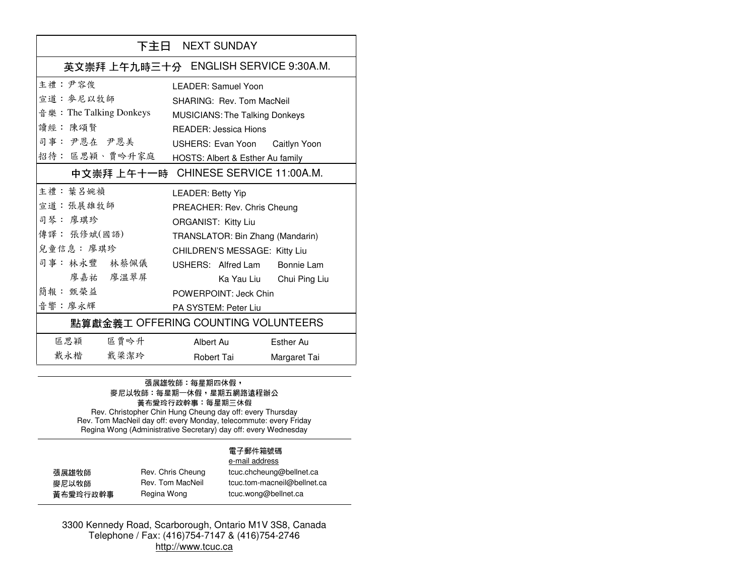| 下主日 NEXT SUNDAY                       |                                       |  |  |
|---------------------------------------|---------------------------------------|--|--|
| 英文崇拜 上午九時三十分 ENGLISH SERVICE 9:30A.M. |                                       |  |  |
| 主禮:尹容俊                                | LEADER: Samuel Yoon                   |  |  |
| 宣道:參尼以牧師                              | <b>SHARING: Rev. Tom MacNeil</b>      |  |  |
| 音樂:The Talking Donkeys                | <b>MUSICIANS: The Talking Donkeys</b> |  |  |
| 讀經: 陳頌賢                               | <b>READER: Jessica Hions</b>          |  |  |
| 司事: 尹恩在 尹恩美                           | USHERS: Evan Yoon Caitlyn Yoon        |  |  |
| 招待: 區思穎、賈吟升家庭                         | HOSTS: Albert & Esther Au family      |  |  |
| 中文崇拜 上午十一時 CHINESE SERVICE 11:00A.M.  |                                       |  |  |
| 主禮: 葉 呂婉禎                             | <b>LEADER: Betty Yip</b>              |  |  |
| 宣道:張展雄牧師                              | PREACHER: Rev. Chris Cheung           |  |  |
| 司琴: 廖琪珍                               | <b>ORGANIST: Kitty Liu</b>            |  |  |
| 傳譯: 張修斌(國語)                           | TRANSLATOR: Bin Zhang (Mandarin)      |  |  |
| 兒童信息: 廖琪珍                             | CHILDREN'S MESSAGE: Kitty Liu         |  |  |
| 司事: 林永豐 林蔡佩儀                          | USHERS: Alfred Lam Bonnie Lam         |  |  |
| 廖嘉祐 廖温翠屏                              | Ka Yau Liu Chui Ping Liu              |  |  |
| 簡報: 甄榮益                               | POWERPOINT: Jeck Chin                 |  |  |
| 音響:廖永輝                                | PA SYSTEM: Peter Liu                  |  |  |
| 點算獻金義工 OFFERING COUNTING VOLUNTEERS   |                                       |  |  |
| 區思穎<br>區賈吟升                           | Albert Au<br>Esther Au                |  |  |
| 戴永楷<br>戴梁潔玲                           | Robert Tai<br>Margaret Tai            |  |  |

## 張展雄牧師:每星期四休假, 麥尼以牧師:每星期一休假<sup>,</sup>星期五網路遠程辦公<br>黃布愛玲行政幹事:每星期三休假

Rev. Christopher Chin Hung Cheung day off: every Thursday Rev. Tom MacNeil day off: every Monday, telecommute: every Friday Regina Wong (Administrative Secretary) day off: every Wednesday

### 電子郵件箱號碼 e-mail address

| 張展雄牧師    | Rev. Chris Cheung | tcuc.chcheung@bellnet.ca    |
|----------|-------------------|-----------------------------|
| 麥尼以牧師    | Rev. Tom MacNeil  | tcuc.tom-macneil@bellnet.ca |
| 黃布愛玲行政幹事 | Regina Wong       | tcuc.wong@bellnet.ca        |

3300 Kennedy Road, Scarborough, Ontario M1V 3S8, Canada Telephone / Fax: (416)754-7147 & (416)754-2746 http://www.tcuc.ca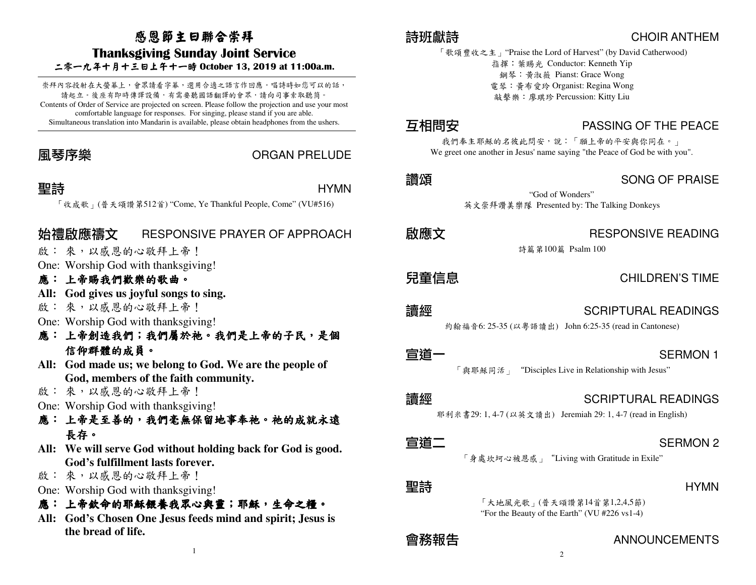# 感恩節主日聯合崇拜

## Thanksgiving Sunday Joint Service

二零一九年十月十三日上午十一時 October 13, <sup>201</sup> 9 at 11:00a.m.

崇拜內容投射在大螢幕上,會眾請看字幕,選用合適之語言作回應。唱詩時如您可以的話, 請起立。後座有即時傳譯設備,有需要聽國語翻譯的會眾,請向司事索取聽筒。 Contents of Order of Service are projected on screen. Please follow the projection and use your most comfortable language for responses. For singing, please stand if you are able. Simultaneous translation into Mandarin is available, please obtain headphones from the ushers.

### 風琴序樂 ORGAN PRELUDE

## 聖詩

**言寺**<br>「 收成歌 」(普天頌讚第512首) "Come, Ye Thankful People, Come" (VU#516)

## 始禮啟應禱文 RESPONSIVE PRAYER OF APPROACH

- 啟: 來,以感恩的心敬拜上帝!
- One: Worship God with thanksgiving!

# 應: 上帝賜我們歡樂的歌曲。<br>All: Cod gives us joyful songs

- **All: God gives us joyful songs to sing.**
- 啟: 來,以感恩的心敬拜上帝!
- One: Worship God with thanksgiving!
- 應:上帝創造我們;我們屬於祂。我們是上帝的子民 。我們是上帝的子民,是個 信仰群體的成員。
- **All: God made us; we belong to God. We are the people of God, members of the faith community.**
- 啟: 來,以感恩的心敬拜上帝!
- One: Worship God with thanksgiving!
- 應: 上帝是至善的,我們毫無保留地事奉祂。祂的成就永遠<br>———————————————————— 長存。
- **All: We will serve God without holding back for God is good. God's fulfillment lasts forever.**
- 啟: 來,以感恩的心敬拜上帝!
- One: Worship God with thanksgiving!
- 應: 上帝欽命的耶穌餵養我眾心與靈;耶穌,生命之糧。<br>All: Cod's Choson One Josus foods mind and spirit: Josus
- **All: God's Chosen One Jesus feeds mind and spirit; Jesus is the bread of life.**

## 詩班獻詩

 CHOIR ANTHEM 「歌頌豐收之主」"Praise the Lord of Harvest" (by David Catherwood) 指揮:葉賜光 Conductor: Kenneth Yip 鋼琴:黃淑薇 Pianst: Grace Wong 電琴:黃布愛玲 Organist: Regina Wong 敲擊樂:廖琪珍 Percussion: Kitty Liu

## 互相問安

]安<br>我們奉主耶穌的名彼此問安,說:「願上帝的平安與你同在。」 We greet one another in Jesus' name saying "the Peace of God be with you".

## 讚頌

## SONG OF PRAISE

"God of Wonders" 英文崇拜讚美樂隊 Presented by: The Talking Donkeys

啟應文

## RESPONSIVE READING

詩篇第100篇 Psalm 100

兒童信息

## CHILDREN'S TIME

- 讀經
- 

 **SCRIPTURAL READINGS**<br>約翰福音6: 25-35 (以粵語讀出) John 6:25-35 (read in Cantonese)

宣道一

——<br>「血耶稣同活」 "Disciples Live in Relationship with Jesus" 「與耶穌同活」"Disciples Live in Relationship with Jesus"

### 讀經

 **AMM SCRIPTURAL READINGS**<br> **アンディアン SCRIPTURAL READINGS**<br>
Weremiah 29: 1, 4-7 (read in English)

## 宣道二

SERMON 2 「身處坎坷心被恩感」"Living with Gratitude in Exile"

## 聖詩

 HYMN 「大地風光歌」(普天頌讚第14首第1,2,4,5節) "For the Beauty of the Earth" (VU #226 vs1-4)

## 會務報告 ANNOUNCEMENTS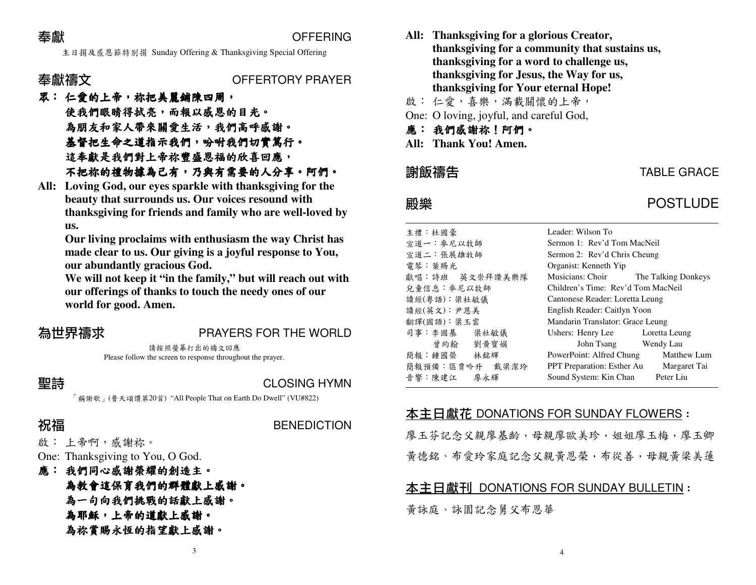### 奉獻

**篇<br>主日捐及感恩節特別捐 Sunday Offering & Thanksgiving Special Offering**<br>コンピュール Special Offering

### 奉獻禱文

### OFFERTORY PRAYER

## 眾:仁愛的上帝,祢把美麗鋪陳四周 把美麗鋪陳四周, 使我們眼睛得拭亮 使我們眼睛得拭亮,而報以感恩的目光 ,而報以感恩的目光。為朋友和家人帶來關愛生活,我們高呼感謝。<br>其权如止合之道长云我們,叭叫我們切實質公 基督把生命之道指示我們,吩咐我們切實篤行。<br>这是些具我們對上我的贈成因相似以言曰意。 這奉獻是我們對上帝祢豐盛恩福的欣喜回應,<br>エ加始始禮始婚弟ヨ右,乃與右愛亜丛(八喜 不把祢的禮物據為己有,乃奧有需要的人分享。阿們。<br>Loving Cod. our eves sporkle with thanksgiving for the

 **All: Loving God, our eyes sparkle with thanksgiving for the beauty that surrounds us. Our voices resound with thanksgiving for friends and family who are well-loved by us.** 

 **Our living proclaims with enthusiasm the way Christ has made clear to us. Our giving is a joyful response to You, our abundantly gracious God.** 

 **We will not keep it "in the family," but will reach out with our offerings of thanks to touch the needy ones of our world for good. Amen.** 

## 為世界禱求 PRAYERS FOR THE WORLD

請按照螢幕打出的禱文回應Please follow the screen to response throughout the prayer.

### 聖詩

**BENEDICTION** 

**こそ)<br>- アランドの CLOSING HYMN**<br>「稱謝歌」(普天頌讚第20首) "All People That on Earth Do Dwell" (VU#822)

3

### 祝福

啟: 上帝啊,感謝祢。

One: Thanksgiving to You, O God.

- 應: 我們同心感謝榮耀的創造主。<br>※※※※※※※※※※■以群聯郎!
	- 為教會這保育我們的群體獻上感謝。
	- 為一句向我們挑戰的話獻上感謝。
	- 為耶穌,上帝的道獻上感謝。<br>\*\*\*常眼之怀仏长之敗し式甜
	- 為祢賞賜永恆的指望獻上感謝。
- **All: Thanksgiving for a glorious Creator, thanksgiving for a community that sustains us, thanksgiving for a word to challenge us, thanksgiving for Jesus, the Way for us, thanksgiving for Your eternal Hope!**
- 啟: 仁愛,喜樂,滿載關懷的上帝,
- One: O loving, joyful, and careful God,
- 應:我們感謝祢!阿們。
- **All: Thank You! Amen.**

### 謝飯禱告

音響:陳建江

### 主禮:杜國豪 Leader: Wilson To 宣道一:麥尼以牧師 Sermon 1: Rev'd Tom MacNeil 宣道二:張展雄牧師 Sermon 2: Rev'd Chris Cheung 電琴:葉賜光 Organist: Kenneth Yip 獻唱:詩班 英文崇拜讚美樂隊 獻唱:詩班 英文崇拜讚美樂隊 Musicians: Choir The Talking Donkeys<br>兒童信息:參尼以牧師 Children's Time: Rev'd Tom MacNeil 讀經(粵語):梁杜敏儀 Cantonese Reader: Loretta Leung 讀經(英文):尹恩美 English Reader: Caitlyn Yoon 翻譯(國語): 梁玉雲 Mandarin Translator: Grace Leung 司事:李國基梁杜敏儀 Ushers: Henry Lee Loretta Leung<br>劉黃寶娟 John Tsang Wendy Lau 曾約翰 劉黃寶娟 John Tsang Wendy Lau 簡報:鍾國榮**榮 林銘輝 PowerPoint: Alfred Chung Matthew Lum**<br>反要必升 載汲潔**公 DDT Preparation: Esther Au Margaret Tai** 簡報預備:區賈吟升 戴梁潔玲 +升 戴梁潔玲 PPT Preparation: Esther Au Margaret Tai<br>廖永輝 Sound System: Kin Chan Peter Liu

Sound System: Kin Chan

# 本主日獻花 DONATIONS FOR SUNDAY FLOWERS :<br>、

廖玉芬記念父親廖基齡,母親廖歐美珍,姐姐廖玉梅,廖玉卿黃德銘、布愛玲家庭記念父親黃恩榮,布從善,母親黃梁美蓮

4

# <u>本主日獻刊 DONATIONS FOR SUNDAY BULLETIN</u> :<br>.

黃詠庭、詠園記念舅父布恩華

# TABLE GRACE

## 殿樂 POSTLUDE